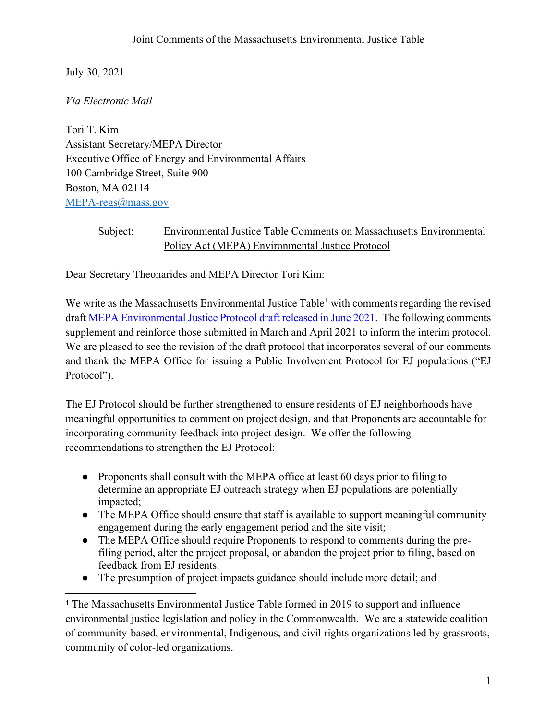July 30, 2021

*Via Electronic Mail* 

Tori T. Kim Assistant Secretary/MEPA Director Executive Office of Energy and Environmental Affairs 100 Cambridge Street, Suite 900 Boston, MA 02114 [MEPA-regs@mass.gov](mailto:MEPA-regs@mass.gov)

## Subject: Environmental Justice Table Comments on Massachusetts Environmental Policy Act (MEPA) Environmental Justice Protocol

Dear Secretary Theoharides and MEPA Director Tori Kim:

We write as the Massachusetts Environmental Justice Table<sup>[1](#page-0-0)</sup> with comments regarding the revised draft [MEPA Environmental Justice Protocol draft released in June 2021.](https://www.mass.gov/doc/mepa-revised-public-involvement-protocol-for-environmental-justice-populations-june-2021-clean/download) The following comments supplement and reinforce those submitted in March and April 2021 to inform the interim protocol. We are pleased to see the revision of the draft protocol that incorporates several of our comments and thank the MEPA Office for issuing a Public Involvement Protocol for EJ populations ("EJ Protocol").

The EJ Protocol should be further strengthened to ensure residents of EJ neighborhoods have meaningful opportunities to comment on project design, and that Proponents are accountable for incorporating community feedback into project design. We offer the following recommendations to strengthen the EJ Protocol:

- Proponents shall consult with the MEPA office at least 60 days prior to filing to determine an appropriate EJ outreach strategy when EJ populations are potentially impacted;
- The MEPA Office should ensure that staff is available to support meaningful community engagement during the early engagement period and the site visit;
- The MEPA Office should require Proponents to respond to comments during the prefiling period, alter the project proposal, or abandon the project prior to filing, based on feedback from EJ residents.
- The presumption of project impacts guidance should include more detail; and

<span id="page-0-0"></span><sup>&</sup>lt;sup>1</sup> The Massachusetts Environmental Justice Table formed in 2019 to support and influence environmental justice legislation and policy in the Commonwealth. We are a statewide coalition of community-based, environmental, Indigenous, and civil rights organizations led by grassroots, community of color-led organizations.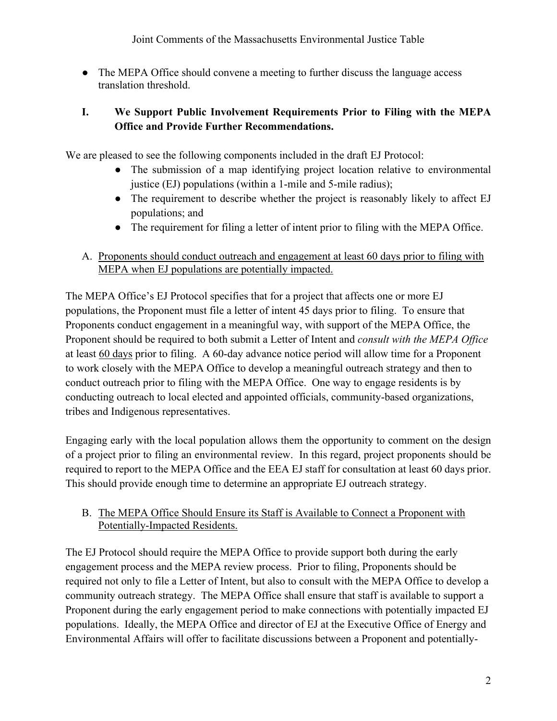Joint Comments of the Massachusetts Environmental Justice Table

• The MEPA Office should convene a meeting to further discuss the language access translation threshold.

## **I. We Support Public Involvement Requirements Prior to Filing with the MEPA Office and Provide Further Recommendations.**

We are pleased to see the following components included in the draft EJ Protocol:

- The submission of a map identifying project location relative to environmental justice (EJ) populations (within a 1-mile and 5-mile radius);
- The requirement to describe whether the project is reasonably likely to affect EJ populations; and
- The requirement for filing a letter of intent prior to filing with the MEPA Office.
- A. Proponents should conduct outreach and engagement at least 60 days prior to filing with MEPA when EJ populations are potentially impacted.

The MEPA Office's EJ Protocol specifies that for a project that affects one or more EJ populations, the Proponent must file a letter of intent 45 days prior to filing. To ensure that Proponents conduct engagement in a meaningful way, with support of the MEPA Office, the Proponent should be required to both submit a Letter of Intent and *consult with the MEPA Office* at least 60 days prior to filing. A 60-day advance notice period will allow time for a Proponent to work closely with the MEPA Office to develop a meaningful outreach strategy and then to conduct outreach prior to filing with the MEPA Office. One way to engage residents is by conducting outreach to local elected and appointed officials, community-based organizations, tribes and Indigenous representatives.

Engaging early with the local population allows them the opportunity to comment on the design of a project prior to filing an environmental review. In this regard, project proponents should be required to report to the MEPA Office and the EEA EJ staff for consultation at least 60 days prior. This should provide enough time to determine an appropriate EJ outreach strategy.

### B. The MEPA Office Should Ensure its Staff is Available to Connect a Proponent with Potentially-Impacted Residents.

The EJ Protocol should require the MEPA Office to provide support both during the early engagement process and the MEPA review process. Prior to filing, Proponents should be required not only to file a Letter of Intent, but also to consult with the MEPA Office to develop a community outreach strategy. The MEPA Office shall ensure that staff is available to support a Proponent during the early engagement period to make connections with potentially impacted EJ populations. Ideally, the MEPA Office and director of EJ at the Executive Office of Energy and Environmental Affairs will offer to facilitate discussions between a Proponent and potentially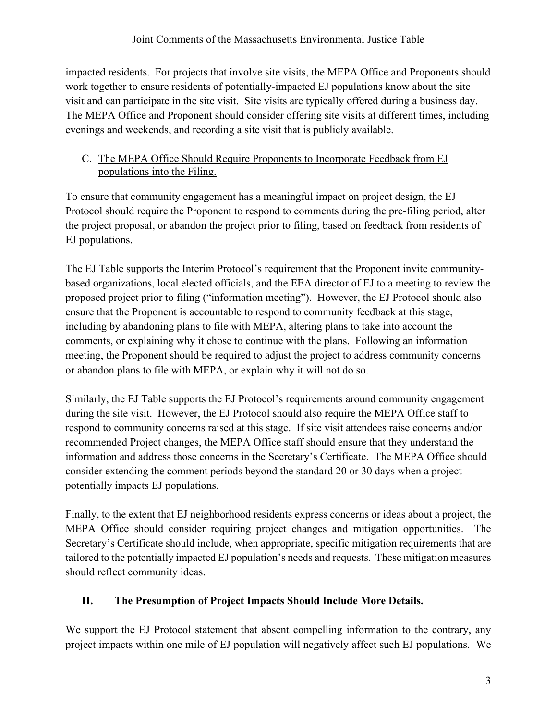impacted residents. For projects that involve site visits, the MEPA Office and Proponents should work together to ensure residents of potentially-impacted EJ populations know about the site visit and can participate in the site visit. Site visits are typically offered during a business day. The MEPA Office and Proponent should consider offering site visits at different times, including evenings and weekends, and recording a site visit that is publicly available.

### C. The MEPA Office Should Require Proponents to Incorporate Feedback from EJ populations into the Filing.

To ensure that community engagement has a meaningful impact on project design, the EJ Protocol should require the Proponent to respond to comments during the pre-filing period, alter the project proposal, or abandon the project prior to filing, based on feedback from residents of EJ populations.

The EJ Table supports the Interim Protocol's requirement that the Proponent invite communitybased organizations, local elected officials, and the EEA director of EJ to a meeting to review the proposed project prior to filing ("information meeting"). However, the EJ Protocol should also ensure that the Proponent is accountable to respond to community feedback at this stage, including by abandoning plans to file with MEPA, altering plans to take into account the comments, or explaining why it chose to continue with the plans. Following an information meeting, the Proponent should be required to adjust the project to address community concerns or abandon plans to file with MEPA, or explain why it will not do so.

Similarly, the EJ Table supports the EJ Protocol's requirements around community engagement during the site visit. However, the EJ Protocol should also require the MEPA Office staff to respond to community concerns raised at this stage. If site visit attendees raise concerns and/or recommended Project changes, the MEPA Office staff should ensure that they understand the information and address those concerns in the Secretary's Certificate. The MEPA Office should consider extending the comment periods beyond the standard 20 or 30 days when a project potentially impacts EJ populations.

Finally, to the extent that EJ neighborhood residents express concerns or ideas about a project, the MEPA Office should consider requiring project changes and mitigation opportunities. The Secretary's Certificate should include, when appropriate, specific mitigation requirements that are tailored to the potentially impacted EJ population's needs and requests. These mitigation measures should reflect community ideas.

## **II. The Presumption of Project Impacts Should Include More Details.**

We support the EJ Protocol statement that absent compelling information to the contrary, any project impacts within one mile of EJ population will negatively affect such EJ populations. We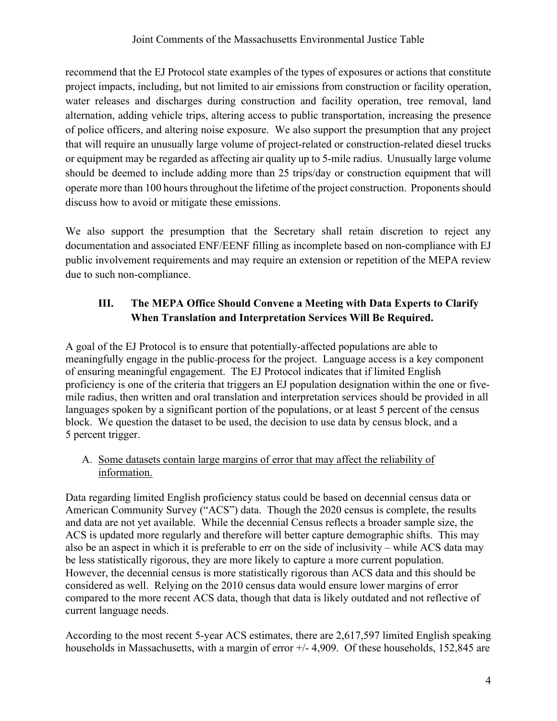recommend that the EJ Protocol state examples of the types of exposures or actions that constitute project impacts, including, but not limited to air emissions from construction or facility operation, water releases and discharges during construction and facility operation, tree removal, land alternation, adding vehicle trips, altering access to public transportation, increasing the presence of police officers, and altering noise exposure. We also support the presumption that any project that will require an unusually large volume of project-related or construction-related diesel trucks or equipment may be regarded as affecting air quality up to 5-mile radius. Unusually large volume should be deemed to include adding more than 25 trips/day or construction equipment that will operate more than 100 hours throughout the lifetime of the project construction. Proponents should discuss how to avoid or mitigate these emissions.

We also support the presumption that the Secretary shall retain discretion to reject any documentation and associated ENF/EENF filling as incomplete based on non-compliance with EJ public involvement requirements and may require an extension or repetition of the MEPA review due to such non-compliance.

# **III. The MEPA Office Should Convene a Meeting with Data Experts to Clarify When Translation and Interpretation Services Will Be Required.**

A goal of the EJ Protocol is to ensure that potentially-affected populations are able to meaningfully engage in the public process for the project. Language access is a key component of ensuring meaningful engagement. The EJ Protocol indicates that if limited English proficiency is one of the criteria that triggers an EJ population designation within the one or fivemile radius, then written and oral translation and interpretation services should be provided in all languages spoken by a significant portion of the populations, or at least 5 percent of the census block. We question the dataset to be used, the decision to use data by census block, and a 5 percent trigger.

### A. Some datasets contain large margins of error that may affect the reliability of information.

Data regarding limited English proficiency status could be based on decennial census data or American Community Survey ("ACS") data. Though the 2020 census is complete, the results and data are not yet available. While the decennial Census reflects a broader sample size, the ACS is updated more regularly and therefore will better capture demographic shifts. This may also be an aspect in which it is preferable to err on the side of inclusivity – while ACS data may be less statistically rigorous, they are more likely to capture a more current population. However, the decennial census is more statistically rigorous than ACS data and this should be considered as well. Relying on the 2010 census data would ensure lower margins of error compared to the more recent ACS data, though that data is likely outdated and not reflective of current language needs.

According to the most recent 5-year ACS estimates, there are 2,617,597 limited English speaking households in Massachusetts, with a margin of error  $+/$ -4,909. Of these households, 152,845 are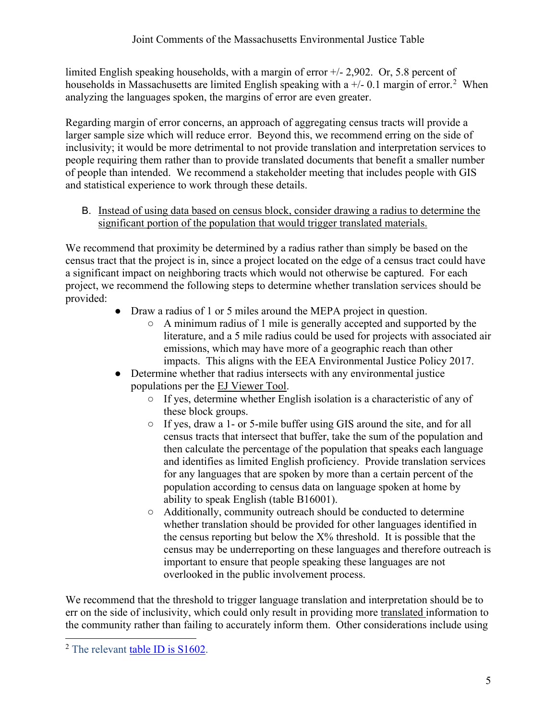limited English speaking households, with a margin of error +/- 2,902. Or, 5.8 percent of households in Massachusetts are limited English speaking with a  $+/-0.1$  margin of error.<sup>[2](#page-4-0)</sup> When analyzing the languages spoken, the margins of error are even greater.

Regarding margin of error concerns, an approach of aggregating census tracts will provide a larger sample size which will reduce error. Beyond this, we recommend erring on the side of inclusivity; it would be more detrimental to not provide translation and interpretation services to people requiring them rather than to provide translated documents that benefit a smaller number of people than intended. We recommend a stakeholder meeting that includes people with GIS and statistical experience to work through these details.

B. Instead of using data based on census block, consider drawing a radius to determine the significant portion of the population that would trigger translated materials.

We recommend that proximity be determined by a radius rather than simply be based on the census tract that the project is in, since a project located on the edge of a census tract could have a significant impact on neighboring tracts which would not otherwise be captured. For each project, we recommend the following steps to determine whether translation services should be provided:

- Draw a radius of 1 or 5 miles around the MEPA project in question.
	- A minimum radius of 1 mile is generally accepted and supported by the literature, and a 5 mile radius could be used for projects with associated air emissions, which may have more of a geographic reach than other impacts. This aligns with the EEA Environmental Justice Policy 2017.
- Determine whether that radius intersects with any environmental justice populations per the [EJ Viewer Tool.](https://mass-eoeea.maps.arcgis.com/apps/webappviewer/index.html?id=1d6f63e7762a48e5930de84ed4849212)
	- If yes, determine whether English isolation is a characteristic of any of these block groups.
	- If yes, draw a 1- or 5-mile buffer using GIS around the site, and for all census tracts that intersect that buffer, take the sum of the population and then calculate the percentage of the population that speaks each language and identifies as limited English proficiency. Provide translation services for any languages that are spoken by more than a certain percent of the population according to census data on language spoken at home by ability to speak English (table B16001).
	- Additionally, community outreach should be conducted to determine whether translation should be provided for other languages identified in the census reporting but below the  $X\%$  threshold. It is possible that the census may be underreporting on these languages and therefore outreach is important to ensure that people speaking these languages are not overlooked in the public involvement process.

We recommend that the threshold to trigger language translation and interpretation should be to err on the side of inclusivity, which could only result in providing more translated information to the community rather than failing to accurately inform them. Other considerations include using

<span id="page-4-0"></span><sup>&</sup>lt;sup>2</sup> The relevant [table ID is S1602.](https://data.census.gov/cedsci/table?text=english&t=Language%20Spoken%20at%20Home&g=0400000US25&tid=ACSST5Y2019.S1602&hidePreview=true)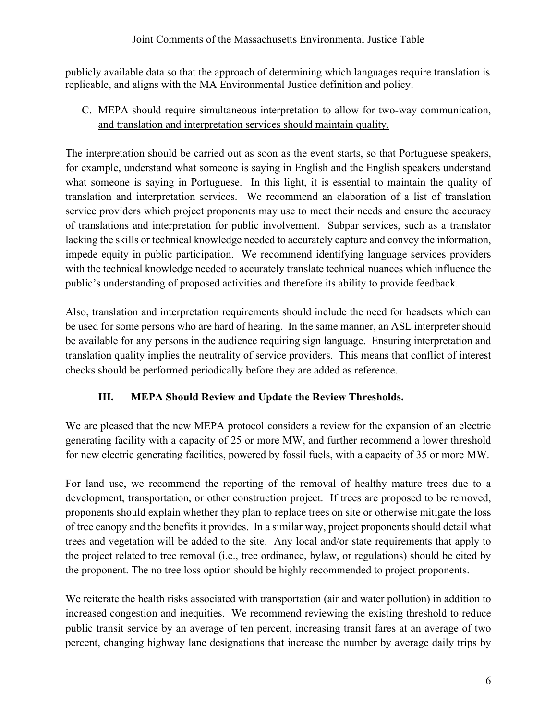#### Joint Comments of the Massachusetts Environmental Justice Table

publicly available data so that the approach of determining which languages require translation is replicable, and aligns with the MA Environmental Justice definition and policy.

### C. MEPA should require simultaneous interpretation to allow for two-way communication, and translation and interpretation services should maintain quality.

The interpretation should be carried out as soon as the event starts, so that Portuguese speakers, for example, understand what someone is saying in English and the English speakers understand what someone is saying in Portuguese. In this light, it is essential to maintain the quality of translation and interpretation services. We recommend an elaboration of a list of translation service providers which project proponents may use to meet their needs and ensure the accuracy of translations and interpretation for public involvement. Subpar services, such as a translator lacking the skills or technical knowledge needed to accurately capture and convey the information, impede equity in public participation. We recommend identifying language services providers with the technical knowledge needed to accurately translate technical nuances which influence the public's understanding of proposed activities and therefore its ability to provide feedback.

Also, translation and interpretation requirements should include the need for headsets which can be used for some persons who are hard of hearing. In the same manner, an ASL interpreter should be available for any persons in the audience requiring sign language. Ensuring interpretation and translation quality implies the neutrality of service providers. This means that conflict of interest checks should be performed periodically before they are added as reference.

### **III. MEPA Should Review and Update the Review Thresholds.**

We are pleased that the new MEPA protocol considers a review for the expansion of an electric generating facility with a capacity of 25 or more MW, and further recommend a lower threshold for new electric generating facilities, powered by fossil fuels, with a capacity of 35 or more MW.

For land use, we recommend the reporting of the removal of healthy mature trees due to a development, transportation, or other construction project. If trees are proposed to be removed, proponents should explain whether they plan to replace trees on site or otherwise mitigate the loss of tree canopy and the benefits it provides. In a similar way, project proponents should detail what trees and vegetation will be added to the site. Any local and/or state requirements that apply to the project related to tree removal (i.e., tree ordinance, bylaw, or regulations) should be cited by the proponent. The no tree loss option should be highly recommended to project proponents.

We reiterate the health risks associated with transportation (air and water pollution) in addition to increased congestion and inequities. We recommend reviewing the existing threshold to reduce public transit service by an average of ten percent, increasing transit fares at an average of two percent, changing highway lane designations that increase the number by average daily trips by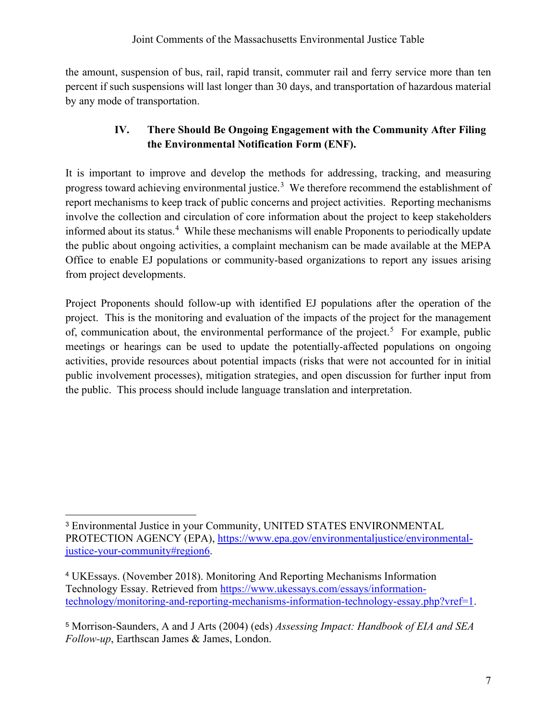the amount, suspension of bus, rail, rapid transit, commuter rail and ferry service more than ten percent if such suspensions will last longer than 30 days, and transportation of hazardous material by any mode of transportation.

## **IV. There Should Be Ongoing Engagement with the Community After Filing the Environmental Notification Form (ENF).**

It is important to improve and develop the methods for addressing, tracking, and measuring progress toward achieving environmental justice.<sup>[3](#page-6-0)</sup> We therefore recommend the establishment of report mechanisms to keep track of public concerns and project activities. Reporting mechanisms involve the collection and circulation of core information about the project to keep stakeholders informed about its status.<sup>[4](#page-6-1)</sup> While these mechanisms will enable Proponents to periodically update the public about ongoing activities, a complaint mechanism can be made available at the MEPA Office to enable EJ populations or community-based organizations to report any issues arising from project developments.

Project Proponents should follow-up with identified EJ populations after the operation of the project. This is the monitoring and evaluation of the impacts of the project for the management of, communication about, the environmental performance of the project.<sup>[5](#page-6-2)</sup> For example, public meetings or hearings can be used to update the potentially-affected populations on ongoing activities, provide resources about potential impacts (risks that were not accounted for in initial public involvement processes), mitigation strategies, and open discussion for further input from the public. This process should include language translation and interpretation.

<span id="page-6-0"></span><sup>3</sup> Environmental Justice in your Community, UNITED STATES ENVIRONMENTAL PROTECTION AGENCY (EPA), [https://www.epa.gov/environmentaljustice/environmental](https://www.epa.gov/environmentaljustice/environmental-justice-your-community#region6)[justice-your-community#region6.](https://www.epa.gov/environmentaljustice/environmental-justice-your-community#region6)

<span id="page-6-1"></span><sup>4</sup> UKEssays. (November 2018). Monitoring And Reporting Mechanisms Information Technology Essay. Retrieved from [https://www.ukessays.com/essays/information](https://www.ukessays.com/essays/information-technology/monitoring-and-reporting-mechanisms-information-technology-essay.php?vref=1)[technology/monitoring-and-reporting-mechanisms-information-technology-essay.php?vref=1.](https://www.ukessays.com/essays/information-technology/monitoring-and-reporting-mechanisms-information-technology-essay.php?vref=1)

<span id="page-6-2"></span><sup>5</sup> Morrison-Saunders, A and J Arts (2004) (eds) *Assessing Impact: Handbook of EIA and SEA Follow-up*, Earthscan James & James, London.